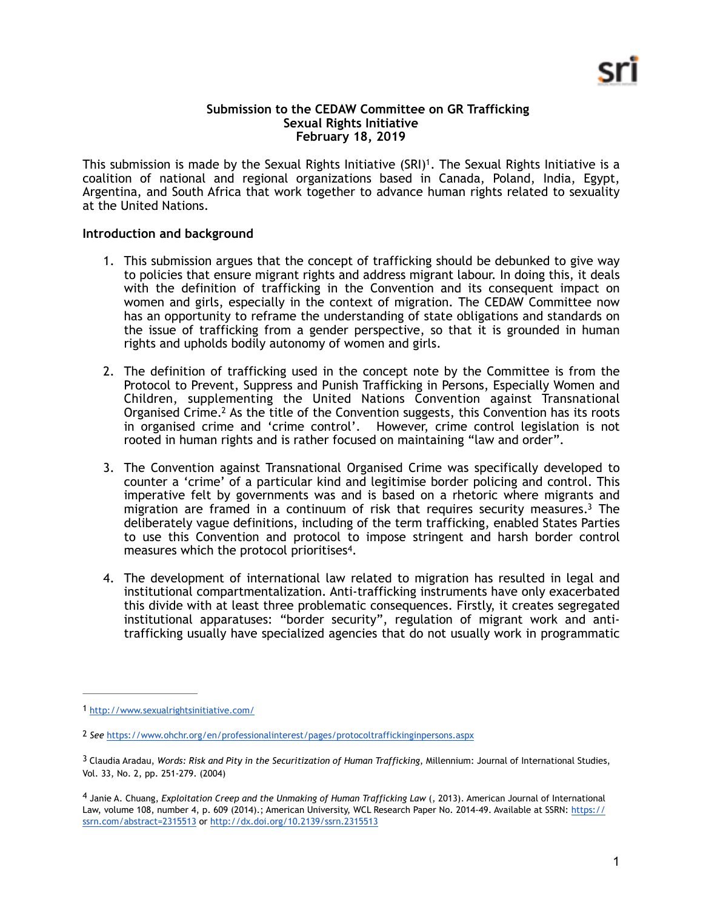#### <span id="page-0-4"></span>**Submission to the CEDAW Committee on GR Trafficking Sexual Rights Initiative February 18, 2019**

This submission is made by the Sexual Rights Initiative (SRI)<sup>[1](#page-0-0)</sup>. The Sexual Rights Initiative is a coalition of national and regional organizations based in Canada, Poland, India, Egypt, Argentina, and South Africa that work together to advance human rights related to sexuality at the United Nations.

# **Introduction and background**

- 1. This submission argues that the concept of trafficking should be debunked to give way to policies that ensure migrant rights and address migrant labour. In doing this, it deals with the definition of trafficking in the Convention and its consequent impact on women and girls, especially in the context of migration. The CEDAW Committee now has an opportunity to reframe the understanding of state obligations and standards on the issue of trafficking from a gender perspective, so that it is grounded in human rights and upholds bodily autonomy of women and girls.
- <span id="page-0-5"></span>2. The definition of trafficking used in the concept note by the Committee is from the Protocol to Prevent, Suppress and Punish Trafficking in Persons, Especially Women and Children, supplementing the United Nations Convention against Transnational Organised Crime[.](#page-0-1)<sup>[2](#page-0-1)</sup> As the title of the Convention suggests, this Convention has its roots in organised crime and 'crime control'. However, crime control legislation is not rooted in human rights and is rather focused on maintaining "law and order".
- <span id="page-0-6"></span>3. The Convention against Transnational Organised Crime was specifically developed to counter a 'crime' of a particular kind and legitimise border policing and control. This imperative felt by governments was and is based on a rhetoric where migrants and migration are framed in a continuum of risk that requires security measures[.](#page-0-2)<sup>[3](#page-0-2)</sup> The deliberately vague definitions, including of the term trafficking, enabled States Parties to use this Convention and protocol to impose stringent and harsh border control measures which the protocol prioritises<sup>4</sup>[.](#page-0-3)
- <span id="page-0-7"></span>4. The development of international law related to migration has resulted in legal and institutional compartmentalization. Anti-trafficking instruments have only exacerbated this divide with at least three problematic consequences. Firstly, it creates segregated institutional apparatuses: "border security", regulation of migrant work and antitrafficking usually have specialized agencies that do not usually work in programmatic

<span id="page-0-0"></span>[<sup>1</sup>](#page-0-4) <http://www.sexualrightsinitiative.com/>

<span id="page-0-1"></span>[<sup>2</sup>](#page-0-5) *See* <https://www.ohchr.org/en/professionalinterest/pages/protocoltraffickinginpersons.aspx>

<span id="page-0-2"></span><sup>&</sup>lt;sup>[3](#page-0-6)</sup> Claudia Aradau, Words: Risk and Pity in the Securitization of Human Trafficking, Millennium: Journal of International Studies, Vol. 33, No. 2, pp. 251-279. (2004)

<span id="page-0-3"></span>Janie A. Chuang, *Exploitation Creep and the Unmaking of Human Trafficking Law* (, 2013). American Journal of International [4](#page-0-7) Law, volume 108, number 4, p. 609 (2014).; American University, WCL Research Paper No. 2014-49. Available at SSRN[: https://](https://ssrn.com/abstract=2315513) [ssrn.com/abstract=2315513](https://ssrn.com/abstract=2315513) or [http://dx.doi.org/10.2139/ssrn.2315513](https://dx.doi.org/10.2139/ssrn.2315513)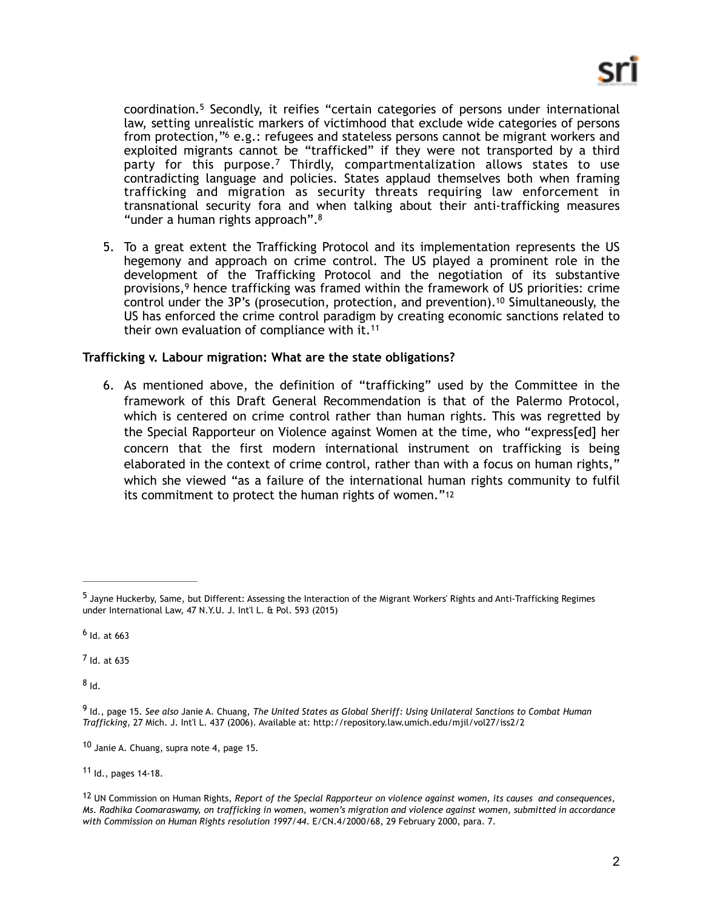<span id="page-1-10"></span><span id="page-1-9"></span><span id="page-1-8"></span>coordination.<sup>[5](#page-1-0)</sup> Secondly, it reifies "certain categories of persons under international law, setting unrealistic markers of victimhood that exclude wide categories of persons from protection,["](#page-1-1) $6$  e.g.: refugees and stateless persons cannot be migrant workers and exploited migrants cannot be "trafficked" if they were not transported by a third partyfor this purpose.<sup>[7](#page-1-2)</sup> Thirdly, compartmentalization allows states to use contradicting language and policies. States applaud themselves both when framing trafficking and migration as security threats requiring law enforcement in transnational security fora and when talking about their anti-trafficking measures "under a human rights approach"[.8](#page-1-3)

<span id="page-1-13"></span><span id="page-1-12"></span><span id="page-1-11"></span>5. To a great extent the Trafficking Protocol and its implementation represents the US hegemony and approach on crime control. The US played a prominent role in the development of the Trafficking Protocol and the negotiation of its substantive provisions, $9$  hence trafficking was framed within the framework of US priorities: crime control under the  $3P$ 's (prosecution, protection, and prevention)[.](#page-1-5)<sup>[10](#page-1-5)</sup> Simultaneously, the US has enforced the crime control paradigm by creating economic sanctions related to their own evaluation of compliance with it. $11$ 

# **Trafficking v. Labour migration: What are the state obligations?**

<span id="page-1-15"></span><span id="page-1-14"></span>6. As mentioned above, the definition of "trafficking" used by the Committee in the framework of this Draft General Recommendation is that of the Palermo Protocol, which is centered on crime control rather than human rights. This was regretted by the Special Rapporteur on Violence against Women at the time, who "express[ed] her concern that the first modern international instrument on trafficking is being elaborated in the context of crime control, rather than with a focus on human rights," which she viewed "as a failure of the international human rights community to fulfil its commitment to protect the human rights of women."[12](#page-1-7)

<span id="page-1-2"></span> $<sup>7</sup>$  $<sup>7</sup>$  $<sup>7</sup>$  Id. at 635</sup>

<span id="page-1-3"></span> $8<sub>1d</sub>$  $8<sub>1d</sub>$ 

<span id="page-1-5"></span> $10$  Janie A. Chuang, supra note 4, page 15.

<span id="page-1-6"></span>[11](#page-1-14) Id., pages 14-18.

<span id="page-1-0"></span> $<sup>5</sup>$  $<sup>5</sup>$  $<sup>5</sup>$ Jayne Huckerby, Same, but Different: Assessing the Interaction of the Migrant Workers' Rights and Anti-Trafficking Regimes</sup> under International Law, 47 N.Y.U. J. Int'l L. & Pol. 593 (2015)

<span id="page-1-1"></span> $6$  Id. at 663

<span id="page-1-4"></span>Id., page 15. *See also* Janie A. Chuang, *The United States as Global Sheriff: Using Unilateral Sanctions to Combat Human* [9](#page-1-12) *Trafficking*, 27 Mich. J. Int'l L. 437 (2006). Available at:<http://repository.law.umich.edu/mjil/vol27/iss2/2>

<span id="page-1-7"></span>UN Commission on Human Rights, *Report of the Special Rapporteur on violence against women, its causes and consequences,* [12](#page-1-15) *Ms. Radhika Coomaraswamy, on trafficking in women, women's migration and violence against women, submitted in accordance with Commission on Human Rights resolution 1997/44*. E/CN.4/2000/68, 29 February 2000, para. 7.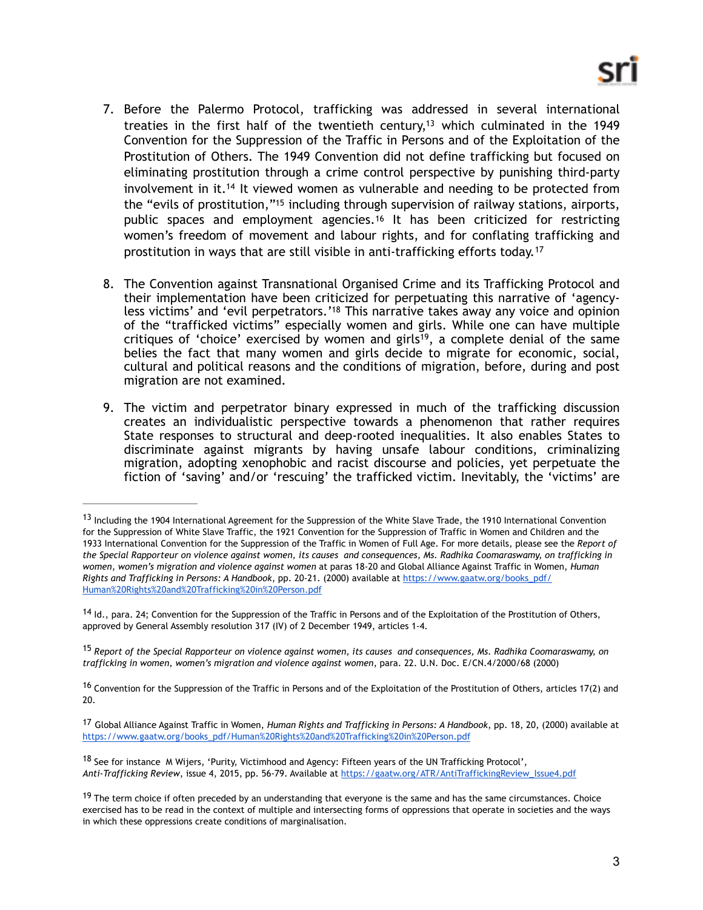- <span id="page-2-8"></span><span id="page-2-7"></span>7. Before the Palermo Protocol, trafficking was addressed in several international treaties in the first half of the twentieth century[,](#page-2-0)<sup>[13](#page-2-0)</sup> which culminated in the 1949 Convention for the Suppression of the Traffic in Persons and of the Exploitation of the Prostitution of Others. The 1949 Convention did not define trafficking but focused on eliminating prostitution through a crime control perspective by punishing third-party involvement in it.<sup>[14](#page-2-1)</sup> It viewed women as vulnerable and needing to be protected from the ["](#page-2-2)evils of prostitution,"<sup>[15](#page-2-2)</sup> including through supervision of railway stations, airports, public spaces and employment agencies.<sup>[16](#page-2-3)</sup> It has been criticized for restricting women's freedom of movement and labour rights, and for conflating trafficking and prostitution in ways that are still visible in anti-trafficking efforts today. [17](#page-2-4)
- <span id="page-2-13"></span><span id="page-2-12"></span><span id="page-2-11"></span><span id="page-2-10"></span><span id="page-2-9"></span>8. The Convention against Transnational Organised Crime and its Trafficking Protocol and their implementation have been criticized for perpetuating this narrative of 'agency-less victims['](#page-2-5) and 'evil perpetrators.'<sup>[18](#page-2-5)</sup> This narrative takes away any voice and opinion of the "trafficked victims" especially women and girls. While one can have multiple critiques of 'choice' exercised by women and girls<sup>19</sup>[,](#page-2-6) a complete denial of the same belies the fact that many women and girls decide to migrate for economic, social, cultural and political reasons and the conditions of migration, before, during and post migration are not examined.
- 9. The victim and perpetrator binary expressed in much of the trafficking discussion creates an individualistic perspective towards a phenomenon that rather requires State responses to structural and deep-rooted inequalities. It also enables States to discriminate against migrants by having unsafe labour conditions, criminalizing migration, adopting xenophobic and racist discourse and policies, yet perpetuate the fiction of 'saving' and/or 'rescuing' the trafficked victim. Inevitably, the 'victims' are

<span id="page-2-0"></span> $13$ Including the 1904 International Agreement for the Suppression of the White Slave Trade, the 1910 International Convention for the Suppression of White Slave Traffic, the 1921 Convention for the Suppression of Traffic in Women and Children and the 1933 International Convention for the Suppression of the Traffic in Women of Full Age. For more details, please see the *Report of the Special Rapporteur on violence against women, its causes and consequences, Ms. Radhika Coomaraswamy, on trafficking in women, women's migration and violence against women* at paras 18-20 and Global Alliance Against Traffic in Women, *Human Rights and Trafficking in Persons: A Handbook*, pp. 20-21. (2000) available at [https://www.gaatw.org/books\\_pdf/](https://www.gaatw.org/books_pdf/Human%2520Rights%2520and%2520Trafficking%2520in%2520Person.pdf) [Human%20Rights%20and%20Trafficking%20in%20Person.pdf](https://www.gaatw.org/books_pdf/Human%2520Rights%2520and%2520Trafficking%2520in%2520Person.pdf)

<span id="page-2-1"></span> $14$ ld., para. 24; Convention for the Suppression of the Traffic in Persons and of the Exploitation of the Prostitution of Others, approved by General Assembly resolution 317 (IV) of 2 December 1949, articles 1-4.

<span id="page-2-2"></span><sup>&</sup>lt;sup>[15](#page-2-9)</sup> Report of the Special Rapporteur on violence against women, its causes and consequences, Ms. Radhika Coomaraswamy, on *trafficking in women, women's migration and violence against women*, para. 22. U.N. Doc. E/CN.4/2000/68 (2000)

<span id="page-2-3"></span><sup>&</sup>lt;sup>16</sup>Convention for the Suppression of the Traffic in Persons and of the Exploitation of the Prostitution of Others, articles 17(2) and 20.

<span id="page-2-4"></span><sup>&</sup>lt;sup>[17](#page-2-11)</sup> Global Alliance Against Traffic in Women, *Human Rights and Trafficking in Persons: A Handbook*, pp. 18, 20, (2000) available at [https://www.gaatw.org/books\\_pdf/Human%20Rights%20and%20Trafficking%20in%20Person.pdf](https://www.gaatw.org/books_pdf/Human%2520Rights%2520and%2520Trafficking%2520in%2520Person.pdf)

<span id="page-2-5"></span> $18$ See for instance M Wijers, 'Purity, Victimhood and Agency: Fifteen years of the UN Trafficking Protocol', *Anti-Trafficking Review*, issue 4, 2015, pp. 56-79. Available at [https://gaatw.org/ATR/AntiTraffickingReview\\_Issue4.pdf](https://gaatw.org/ATR/AntiTraffickingReview_Issue4.pdf)

<span id="page-2-6"></span> $19$ The term choice if often preceded by an understanding that everyone is the same and has the same circumstances. Choice exercised has to be read in the context of multiple and intersecting forms of oppressions that operate in societies and the ways in which these oppressions create conditions of marginalisation.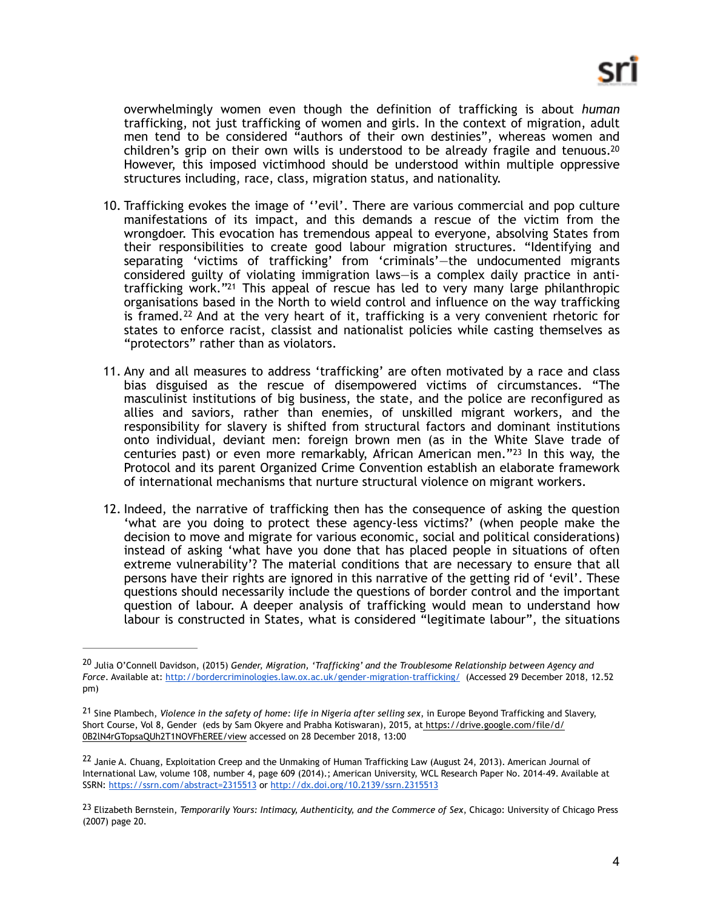<span id="page-3-4"></span>overwhelmingly women even though the definition of trafficking is about *human* trafficking, not just trafficking of women and girls. In the context of migration, adult men tend to be considered "authors of their own destinies", whereas women and children's grip on their own wills is understood to be already fragile and tenuous.<sup>20</sup> However, this imposed victimhood should be understood within multiple oppressive structures including, race, class, migration status, and nationality.

- <span id="page-3-5"></span>10. Trafficking evokes the image of ''evil'. There are various commercial and pop culture manifestations of its impact, and this demands a rescue of the victim from the wrongdoer. This evocation has tremendous appeal to everyone, absolving States from their responsibilities to create good labour migration structures. "Identifying and separating 'victims of trafficking' from 'criminals'—the undocumented migrants considered guilty of violating immigration laws—is a complex daily practice in anti-trafficking work.["](#page-3-1)<sup>[21](#page-3-1)</sup> This appeal of rescue has led to very many large philanthropic organisations based in the North to wield control and influence on the way trafficking is framed.<sup>[22](#page-3-2)</sup> And at the very heart of it, trafficking is a very convenient rhetoric for states to enforce racist, classist and nationalist policies while casting themselves as "protectors" rather than as violators.
- <span id="page-3-6"></span>11. Any and all measures to address 'trafficking' are often motivated by a race and class bias disguised as the rescue of disempowered victims of circumstances. "The masculinist institutions of big business, the state, and the police are reconfigured as allies and saviors, rather than enemies, of unskilled migrant workers, and the responsibility for slavery is shifted from structural factors and dominant institutions onto individual, deviant men: foreign brown men (as in the White Slave trade of centuries past) or even more remarkably, African American men." $23$  In this way, the Protocol and its parent Organized Crime Convention establish an elaborate framework of international mechanisms that nurture structural violence on migrant workers.
- <span id="page-3-7"></span>12. Indeed, the narrative of trafficking then has the consequence of asking the question 'what are you doing to protect these agency-less victims?' (when people make the decision to move and migrate for various economic, social and political considerations) instead of asking 'what have you done that has placed people in situations of often extreme vulnerability'? The material conditions that are necessary to ensure that all persons have their rights are ignored in this narrative of the getting rid of 'evil'. These questions should necessarily include the questions of border control and the important question of labour. A deeper analysis of trafficking would mean to understand how labour is constructed in States, what is considered "legitimate labour", the situations

<span id="page-3-0"></span><sup>&</sup>lt;sup>[20](#page-3-4)</sup> Julia O'Connell Davidson, (2015) *Gender, Migration, 'Trafficking' and the Troublesome Relationship between Agency and Force*. Available at:<http://bordercriminologies.law.ox.ac.uk/gender-migration-trafficking/>(Accessed 29 December 2018, 12.52 pm)

<span id="page-3-1"></span><sup>&</sup>lt;sup>[21](#page-3-5)</sup> Sine Plambech, *Violence in the safety of home: life in Nigeria after selling sex*, in Europe Beyond Trafficking and Slavery, Short Course, Vol 8, Gender (eds by Sam Okyere and Prabha Kotiswaran), 2015, at [https://drive.google.com/file/d/](https://drive.google.com/file/d/0B2lN4rGTopsaQUh2T1NOVFhEREE/view) [0B2lN4rGTopsaQUh2T1NOVFhEREE/view](https://drive.google.com/file/d/0B2lN4rGTopsaQUh2T1NOVFhEREE/view) accessed on 28 December 2018, 13:00

<span id="page-3-2"></span><sup>&</sup>lt;sup>22</sup>Janie A. Chuang, Exploitation Creep and the Unmaking of Human Trafficking Law (August 24, 2013). American Journal of International Law, volume 108, number 4, page 609 (2014).; American University, WCL Research Paper No. 2014-49. Available at SSRN[: https://ssrn.com/abstract=2315513](https://ssrn.com/abstract=2315513) o[r http://dx.doi.org/10.2139/ssrn.2315513](https://dx.doi.org/10.2139/ssrn.2315513)

<span id="page-3-3"></span>Elizabeth Bernstein, *Temporarily Yours: Intimacy, Authenticity, and the Commerce of Sex*, Chicago: University of Chicago Press [23](#page-3-7) (2007) page 20.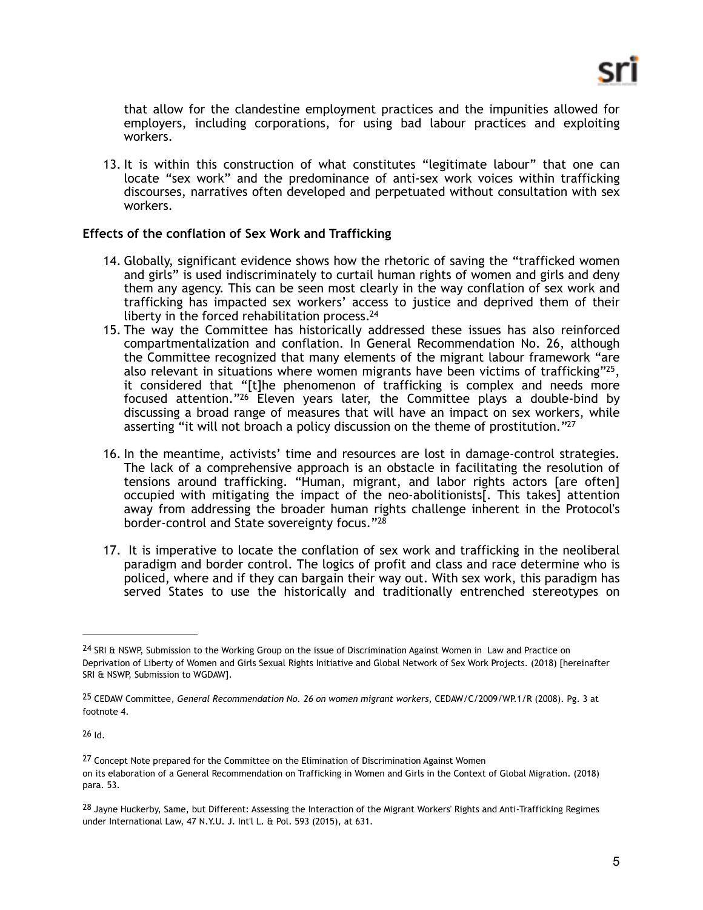that allow for the clandestine employment practices and the impunities allowed for employers, including corporations, for using bad labour practices and exploiting workers.

13. It is within this construction of what constitutes "legitimate labour" that one can locate "sex work" and the predominance of anti-sex work voices within trafficking discourses, narratives often developed and perpetuated without consultation with sex workers.

## **Effects of the conflation of Sex Work and Trafficking**

- 14. Globally, significant evidence shows how the rhetoric of saving the "trafficked women and girls" is used indiscriminately to curtail human rights of women and girls and deny them any agency. This can be seen most clearly in the way conflation of sex work and trafficking has impacted sex workers' access to justice and deprived them of their liberty in the forced rehabilitation process.<sup>24</sup>
- <span id="page-4-6"></span><span id="page-4-5"></span>15. The way the Committee has historically addressed these issues has also reinforced compartmentalization and conflation. In General Recommendation No. 26, although the Committee recognized that many elements of the migrant labour framework "are also relevant in situations where women migrants have been victims of trafficking"<sup>25</sup>[,](#page-4-1) it considered that "[t]he phenomenon of trafficking is complex and needs more focused attention." $26$  Eleven years later, the Committee plays a double-bind by discussing a broad range of measures that will have an impact on sex workers, while asserting "it will not broach a policy discussion on the theme of prostitution."<sup>27</sup>
- <span id="page-4-8"></span><span id="page-4-7"></span>16. In the meantime, activists' time and resources are lost in damage-control strategies. The lack of a comprehensive approach is an obstacle in facilitating the resolution of tensions around trafficking. "Human, migrant, and labor rights actors [are often] occupied with mitigating the impact of the neo-abolitionists[. This takes] attention away from addressing the broader human rights challenge inherent in the Protocol's border-control and State sovereignty focus."<sup>28</sup>
- <span id="page-4-9"></span>17. It is imperative to locate the conflation of sex work and trafficking in the neoliberal paradigm and border control. The logics of profit and class and race determine who is policed, where and if they can bargain their way out. With sex work, this paradigm has served States to use the historically and traditionally entrenched stereotypes on

<span id="page-4-2"></span> $26$ Id.

<span id="page-4-0"></span><sup>24</sup>SRI & NSWP, Submission to the Working Group on the issue of Discrimination Against Women in Law and Practice on Deprivation of Liberty of Women and Girls Sexual Rights Initiative and Global Network of Sex Work Projects. (2018) [hereinafter SRI & NSWP, Submission to WGDAW].

<span id="page-4-1"></span><sup>&</sup>lt;sup>[25](#page-4-6)</sup> CEDAW Committee, General Recommendation No. 26 on women migrant workers, CEDAW/C/2009/WP.1/R (2008). Pg. 3 at footnote 4.

<span id="page-4-3"></span>[<sup>27</sup>](#page-4-8) Concept Note prepared for the Committee on the Elimination of Discrimination Against Women on its elaboration of a General Recommendation on Trafficking in Women and Girls in the Context of Global Migration. (2018) para. 53.

<span id="page-4-4"></span>[<sup>28</sup>](#page-4-9) Jayne Huckerby, Same, but Different: Assessing the Interaction of the Migrant Workers' Rights and Anti-Trafficking Regimes under International Law, 47 N.Y.U. J. Int'l L. & Pol. 593 (2015), at 631.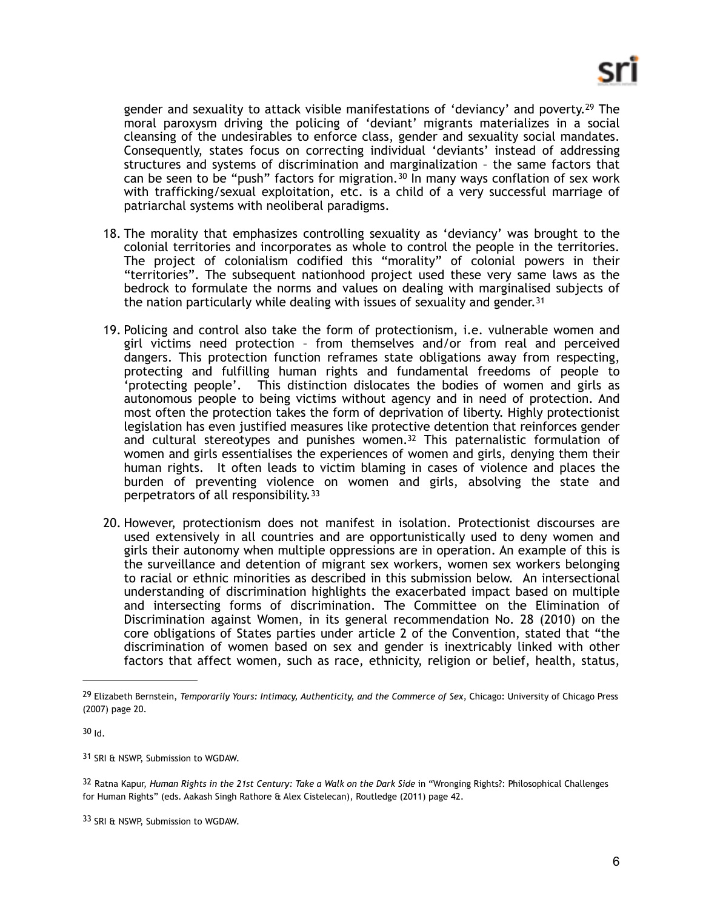<span id="page-5-6"></span><span id="page-5-5"></span>genderand sexuality to attack visible manifestations of 'deviancy' and poverty.<sup>[29](#page-5-0)</sup> The moral paroxysm driving the policing of 'deviant' migrants materializes in a social cleansing of the undesirables to enforce class, gender and sexuality social mandates. Consequently, states focus on correcting individual 'deviants' instead of addressing structures and systems of discrimination and marginalization – the same factors that can be seen to be "push" factors for migration.<sup>[30](#page-5-1)</sup> In many ways conflation of sex work with trafficking/sexual exploitation, etc. is a child of a very successful marriage of patriarchal systems with neoliberal paradigms.

- 18. The morality that emphasizes controlling sexuality as 'deviancy' was brought to the colonial territories and incorporates as whole to control the people in the territories. The project of colonialism codified this "morality" of colonial powers in their "territories". The subsequent nationhood project used these very same laws as the bedrock to formulate the norms and values on dealing with marginalised subjects of the nation particularly while dealing with issues of sexuality and gender.<sup>[31](#page-5-2)</sup>
- <span id="page-5-7"></span>19. Policing and control also take the form of protectionism, i.e. vulnerable women and girl victims need protection – from themselves and/or from real and perceived dangers. This protection function reframes state obligations away from respecting, protecting and fulfilling human rights and fundamental freedoms of people to 'protecting people'. This distinction dislocates the bodies of women and girls as autonomous people to being victims without agency and in need of protection. And most often the protection takes the form of deprivation of liberty. Highly protectionist legislation has even justified measures like protective detention that reinforces gender and cultural stereotypes and punishes women. $32$  This paternalistic formulation of women and girls essentialises the experiences of women and girls, denying them their human rights. It often leads to victim blaming in cases of violence and places the burden of preventing violence on women and girls, absolving the state and perpetrators of all responsibility.[33](#page-5-4)
- <span id="page-5-9"></span><span id="page-5-8"></span>20. However, protectionism does not manifest in isolation. Protectionist discourses are used extensively in all countries and are opportunistically used to deny women and girls their autonomy when multiple oppressions are in operation. An example of this is the surveillance and detention of migrant sex workers, women sex workers belonging to racial or ethnic minorities as described in this submission below. An intersectional understanding of discrimination highlights the exacerbated impact based on multiple and intersecting forms of discrimination. The Committee on the Elimination of Discrimination against Women, in its general recommendation No. 28 (2010) on the core obligations of States parties under article 2 of the Convention, stated that "the discrimination of women based on sex and gender is inextricably linked with other factors that affect women, such as race, ethnicity, religion or belief, health, status,

<span id="page-5-1"></span> $30$  Id.

<span id="page-5-2"></span>[31](#page-5-7) SRI & NSWP, Submission to WGDAW.

<span id="page-5-3"></span>Ratna Kapur, *Human Rights in the 21st Century: Take a Walk on the Dark Side* in "Wronging Rights?: Philosophical Challenges [32](#page-5-8) for Human Rights" (eds. Aakash Singh Rathore & Alex Cistelecan), Routledge (2011) page 42.

<span id="page-5-4"></span>[33](#page-5-9) SRI & NSWP, Submission to WGDAW.

<span id="page-5-0"></span>Elizabeth Bernstein, *Temporarily Yours: Intimacy, Authenticity, and the Commerce of Sex*, Chicago: University of Chicago Press [29](#page-5-5) (2007) page 20.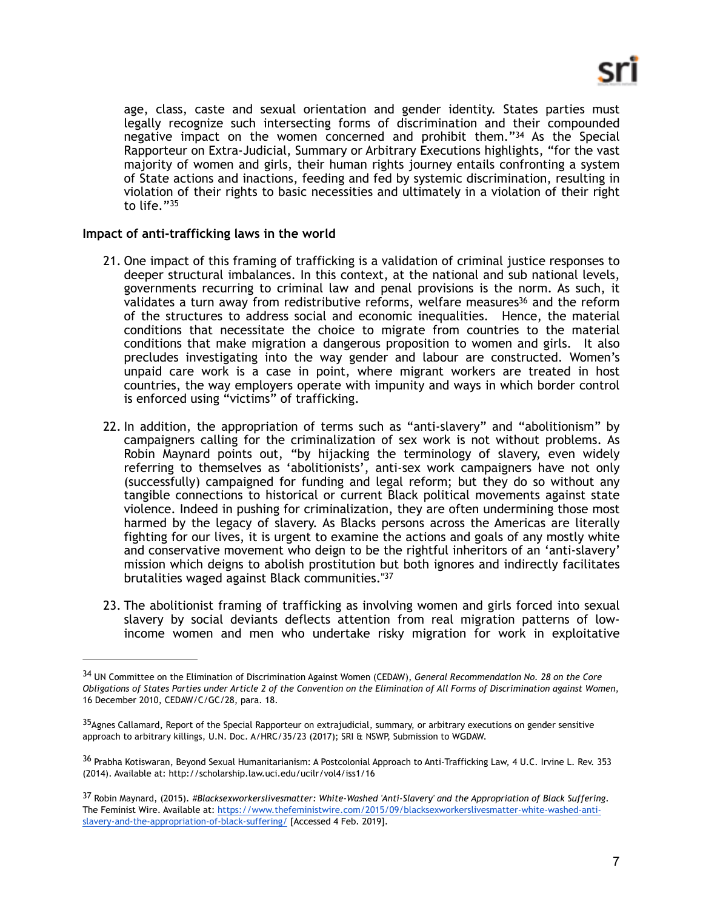<span id="page-6-4"></span>age, class, caste and sexual orientation and gender identity. States parties must legally recognize such intersecting forms of discrimination and their compounded negativeimpact on the women concerned and prohibit them." $34$  As the Special Rapporteur on Extra-Judicial, Summary or Arbitrary Executions highlights, "for the vast majority of women and girls, their human rights journey entails confronting a system of State actions and inactions, feeding and fed by systemic discrimination, resulting in violation of their rights to basic necessities and ultimately in a violation of their right to life."[35](#page-6-1)

## **Impact of anti-trafficking laws in the world**

- <span id="page-6-6"></span><span id="page-6-5"></span>21. One impact of this framing of trafficking is a validation of criminal justice responses to deeper structural imbalances. In this context, at the national and sub national levels, governments recurring to criminal law and penal provisions is the norm. As such, it validate[s](#page-6-2) a turn away from redistributive reforms, welfare measures<sup>[36](#page-6-2)</sup> and the reform of the structures to address social and economic inequalities. Hence, the material conditions that necessitate the choice to migrate from countries to the material conditions that make migration a dangerous proposition to women and girls. It also precludes investigating into the way gender and labour are constructed. Women's unpaid care work is a case in point, where migrant workers are treated in host countries, the way employers operate with impunity and ways in which border control is enforced using "victims" of trafficking.
- 22. In addition, the appropriation of terms such as "anti-slavery" and "abolitionism" by campaigners calling for the criminalization of sex work is not without problems. As Robin Maynard points out, "by hijacking the terminology of slavery, even widely referring to themselves as 'abolitionists', anti-sex work campaigners have not only (successfully) campaigned for funding and legal reform; but they do so without any tangible connections to historical or current Black political movements against state violence. Indeed in pushing for criminalization, they are often undermining those most harmed by the legacy of slavery. As Blacks persons across the Americas are literally fighting for our lives, it is urgent to examine the actions and goals of any mostly white and conservative movement who deign to be the rightful inheritors of an 'anti-slavery' mission which deigns to abolish prostitution but both ignores and indirectly facilitates brutalities waged against Black communities.["37](#page-6-3)
- <span id="page-6-7"></span>23. The abolitionist framing of trafficking as involving women and girls forced into sexual slavery by social deviants deflects attention from real migration patterns of lowincome women and men who undertake risky migration for work in exploitative

<span id="page-6-0"></span>UN Committee on the Elimination of Discrimination Against Women (CEDAW), *General Recommendation No. 28 on the Core* [34](#page-6-4) *Obligations of States Parties under Article 2 of the Convention on the Elimination of All Forms of Discrimination against Women*, 16 December 2010, CEDAW/C/GC/28, para. 18.

<span id="page-6-1"></span><sup>35</sup> [A](#page-6-5)gnes Callamard, Report of the Special Rapporteur on extrajudicial, summary, or arbitrary executions on gender sensitive approach to arbitrary killings, U.N. Doc. A/HRC/35/23 (2017); SRI & NSWP, Submission to WGDAW.

<span id="page-6-2"></span><sup>&</sup>lt;sup>36</sup>Prabha Kotiswaran, Beyond Sexual Humanitarianism: A Postcolonial Approach to Anti-Trafficking Law, 4 U.C. Irvine L. Rev. 353 (2014). Available at: http://scholarship.law.uci.edu/ucilr/vol4/iss1/16

<span id="page-6-3"></span>[<sup>37</sup>](#page-6-7) Robin Maynard, (2015). *#Blacksexworkerslivesmatter: White-Washed 'Anti-Slavery' and the Appropriation of Black Suffering*. The Feminist Wire. Available at: [https://www.thefeministwire.com/2015/09/blacksexworkerslivesmatter-white-washed-anti](https://www.thefeministwire.com/2015/09/blacksexworkerslivesmatter-white-washed-anti-slavery-and-the-appropriation-of-black-suffering/)[slavery-and-the-appropriation-of-black-suffering/](https://www.thefeministwire.com/2015/09/blacksexworkerslivesmatter-white-washed-anti-slavery-and-the-appropriation-of-black-suffering/) [Accessed 4 Feb. 2019].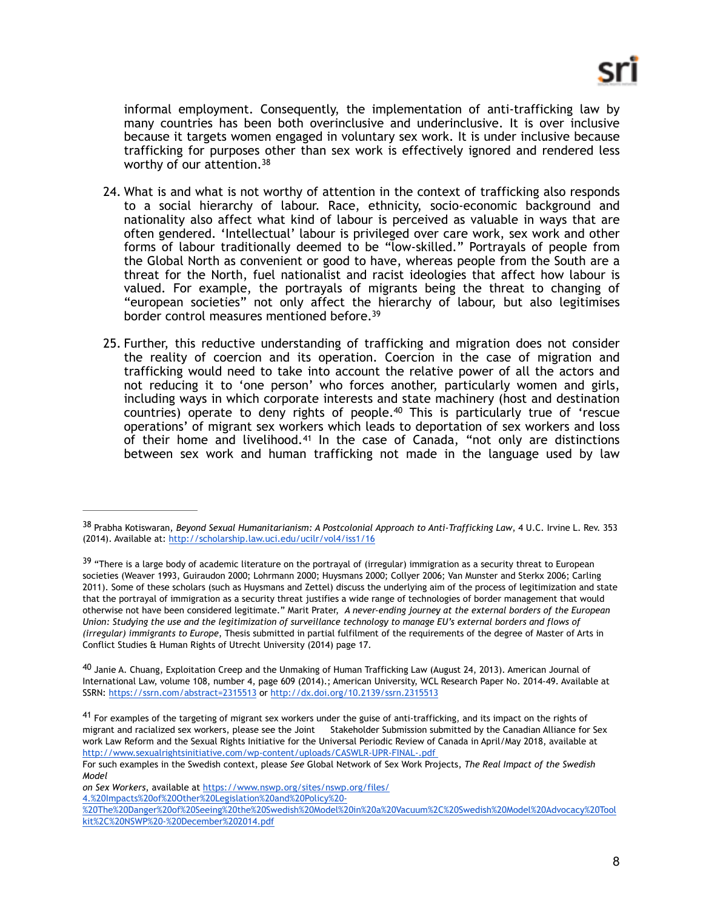<span id="page-7-4"></span>informal employment. Consequently, the implementation of anti-trafficking law by many countries has been both overinclusive and underinclusive. It is over inclusive because it targets women engaged in voluntary sex work. It is under inclusive because trafficking for purposes other than sex work is effectively ignored and rendered less worthy of our attention[.38](#page-7-0)

- 24. What is and what is not worthy of attention in the context of trafficking also responds to a social hierarchy of labour. Race, ethnicity, socio-economic background and nationality also affect what kind of labour is perceived as valuable in ways that are often gendered. 'Intellectual' labour is privileged over care work, sex work and other forms of labour traditionally deemed to be "low-skilled." Portrayals of people from the Global North as convenient or good to have, whereas people from the South are a threat for the North, fuel nationalist and racist ideologies that affect how labour is valued. For example, the portrayals of migrants being the threat to changing of "european societies" not only affect the hierarchy of labour, but also legitimises border control measures mentioned before.<sup>39</sup>
- <span id="page-7-7"></span><span id="page-7-6"></span><span id="page-7-5"></span>25. Further, this reductive understanding of trafficking and migration does not consider the reality of coercion and its operation. Coercion in the case of migration and trafficking would need to take into account the relative power of all the actors and not reducing it to 'one person' who forces another, particularly women and girls, including ways in which corporate interests and state machinery (host and destination countries) operate to deny rights of people. $40$  This is particularly true of 'rescue operations' of migrant sex workers which leads to deportation of sex workers and loss of their home and livelihood.<sup>[41](#page-7-3)</sup> In the case of Canada, "not only are distinctions between sex work and human trafficking not made in the language used by law

<span id="page-7-0"></span><sup>&</sup>lt;sup>[38](#page-7-4)</sup> Prabha Kotiswaran, *Beyond Sexual Humanitarianism: A Postcolonial Approach to Anti-Trafficking Law, 4 U.C. Irvine L. Rev. 353* (2014). Available at:<http://scholarship.law.uci.edu/ucilr/vol4/iss1/16>

<span id="page-7-1"></span><sup>&</sup>lt;sup>39</sup>"There is a large body of academic literature on the portrayal of (irregular) immigration as a security threat to European societies (Weaver 1993, Guiraudon 2000; Lohrmann 2000; Huysmans 2000; Collyer 2006; Van Munster and Sterkx 2006; Carling 2011). Some of these scholars (such as Huysmans and Zettel) discuss the underlying aim of the process of legitimization and state that the portrayal of immigration as a security threat justifies a wide range of technologies of border management that would otherwise not have been considered legitimate." Marit Prater, *A never-ending journey at the external borders of the European Union: Studying the use and the legitimization of surveillance technology to manage EU's external borders and flows of (irregular) immigrants to Europe*, Thesis submitted in partial fulfilment of the requirements of the degree of Master of Arts in Conflict Studies & Human Rights of Utrecht University (2014) page 17.

<span id="page-7-2"></span> $^{40}$  $^{40}$  $^{40}$ Janie A. Chuang, Exploitation Creep and the Unmaking of Human Trafficking Law (August 24, 2013). American Journal of International Law, volume 108, number 4, page 609 (2014).; American University, WCL Research Paper No. 2014-49. Available at SSRN[: https://ssrn.com/abstract=2315513](https://ssrn.com/abstract=2315513) o[r http://dx.doi.org/10.2139/ssrn.2315513](https://dx.doi.org/10.2139/ssrn.2315513)

<span id="page-7-3"></span> $41$ For examples of the targeting of migrant sex workers under the guise of anti-trafficking, and its impact on the rights of migrant and racialized sex workers, please see the Joint Stakeholder Submission submitted by the Canadian Alliance for Sex work Law Reform and the Sexual Rights Initiative for the Universal Periodic Review of Canada in April/May 2018, available at <http://www.sexualrightsinitiative.com/wp-content/uploads/CASWLR-UPR-FINAL-.pdf>

For such examples in the Swedish context, please *See* Global Network of Sex Work Projects, *The Real Impact of the Swedish Model*

*on Sex Workers*, available at [https://www.nswp.org/sites/nswp.org/files/](https://www.nswp.org/sites/nswp.org/files/4.%2520Impacts%2520of%2520Other%2520Legislation%2520and%2520Policy%2520-%2520The%2520Danger%2520of%2520Seeing%2520the%2520Swedish%2520Model%2520in%2520a%2520Vacuum%252C%2520Swedish%2520Model%2520Advocacy%2520Toolkit%252C%2520NSWP%2520-%2520December%25202014.pdf)

[<sup>4.%20</sup>Impacts%20of%20Other%20Legislation%20and%20Policy%20-](https://www.nswp.org/sites/nswp.org/files/4.%2520Impacts%2520of%2520Other%2520Legislation%2520and%2520Policy%2520-%2520The%2520Danger%2520of%2520Seeing%2520the%2520Swedish%2520Model%2520in%2520a%2520Vacuum%252C%2520Swedish%2520Model%2520Advocacy%2520Toolkit%252C%2520NSWP%2520-%2520December%25202014.pdf)

[<sup>%20</sup>The%20Danger%20of%20Seeing%20the%20Swedish%20Model%20in%20a%20Vacuum%2C%20Swedish%20Model%20Advocacy%20Tool](https://www.nswp.org/sites/nswp.org/files/4.%2520Impacts%2520of%2520Other%2520Legislation%2520and%2520Policy%2520-%2520The%2520Danger%2520of%2520Seeing%2520the%2520Swedish%2520Model%2520in%2520a%2520Vacuum%252C%2520Swedish%2520Model%2520Advocacy%2520Toolkit%252C%2520NSWP%2520-%2520December%25202014.pdf) [kit%2C%20NSWP%20-%20December%202014.pdf](https://www.nswp.org/sites/nswp.org/files/4.%2520Impacts%2520of%2520Other%2520Legislation%2520and%2520Policy%2520-%2520The%2520Danger%2520of%2520Seeing%2520the%2520Swedish%2520Model%2520in%2520a%2520Vacuum%252C%2520Swedish%2520Model%2520Advocacy%2520Toolkit%252C%2520NSWP%2520-%2520December%25202014.pdf)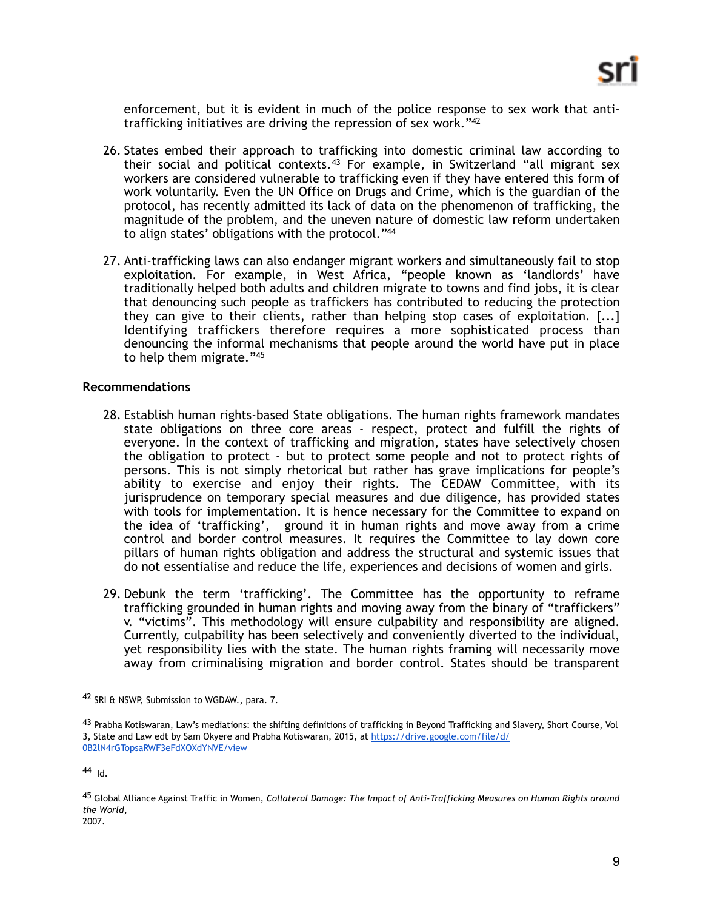<span id="page-8-5"></span><span id="page-8-4"></span>enforcement, but it is evident in much of the police response to sex work that antitrafficking initiatives are driving the repression of sex work.["42](#page-8-0)

- 26. States embed their approach to trafficking into domestic criminal law according to their social and political contexts.<sup>[43](#page-8-1)</sup> For example, in Switzerland "all migrant sex workers are considered vulnerable to trafficking even if they have entered this form of work voluntarily. Even the UN Office on Drugs and Crime, which is the guardian of the protocol, has recently admitted its lack of data on the phenomenon of trafficking, the magnitude of the problem, and the uneven nature of domestic law reform undertaken to align states' obligations with the protocol."[44](#page-8-2)
- <span id="page-8-6"></span>27. Anti-trafficking laws can also endanger migrant workers and simultaneously fail to stop exploitation. For example, in West Africa, "people known as 'landlords' have traditionally helped both adults and children migrate to towns and find jobs, it is clear that denouncing such people as traffickers has contributed to reducing the protection they can give to their clients, rather than helping stop cases of exploitation. [...] Identifying traffickers therefore requires a more sophisticated process than denouncing the informal mechanisms that people around the world have put in place to help them migrate.["45](#page-8-3)

#### **Recommendations**

- <span id="page-8-7"></span>28. Establish human rights-based State obligations. The human rights framework mandates state obligations on three core areas - respect, protect and fulfill the rights of everyone. In the context of trafficking and migration, states have selectively chosen the obligation to protect - but to protect some people and not to protect rights of persons. This is not simply rhetorical but rather has grave implications for people's ability to exercise and enjoy their rights. The CEDAW Committee, with its jurisprudence on temporary special measures and due diligence, has provided states with tools for implementation. It is hence necessary for the Committee to expand on the idea of 'trafficking', ground it in human rights and move away from a crime control and border control measures. It requires the Committee to lay down core pillars of human rights obligation and address the structural and systemic issues that do not essentialise and reduce the life, experiences and decisions of women and girls.
- 29. Debunk the term 'trafficking'. The Committee has the opportunity to reframe trafficking grounded in human rights and moving away from the binary of "traffickers" v. "victims". This methodology will ensure culpability and responsibility are aligned. Currently, culpability has been selectively and conveniently diverted to the individual, yet responsibility lies with the state. The human rights framing will necessarily move away from criminalising migration and border control. States should be transparent

<span id="page-8-0"></span><sup>&</sup>lt;sup>[42](#page-8-4)</sup> SRI & NSWP, Submission to WGDAW., para. 7.

<span id="page-8-1"></span><sup>&</sup>lt;sup>43</sup>Prabha Kotiswaran, Law's mediations: the shifting definitions of trafficking in Beyond Trafficking and Slavery, Short Course, Vol 3, State and Law edt by Sam Okyere and Prabha Kotiswaran, 2015, at [https://drive.google.com/file/d/](https://drive.google.com/file/d/0B2lN4rGTopsaRWF3eFdXOXdYNVE/view) [0B2lN4rGTopsaRWF3eFdXOXdYNVE/view](https://drive.google.com/file/d/0B2lN4rGTopsaRWF3eFdXOXdYNVE/view)

<span id="page-8-2"></span>[<sup>44</sup>](#page-8-6) Id.

<span id="page-8-3"></span>Global Alliance Against Traffic in Women, *Collateral Damage: The Impact of Anti-Trafficking Measures on Human Rights around* [45](#page-8-7) *the World*, 2007.